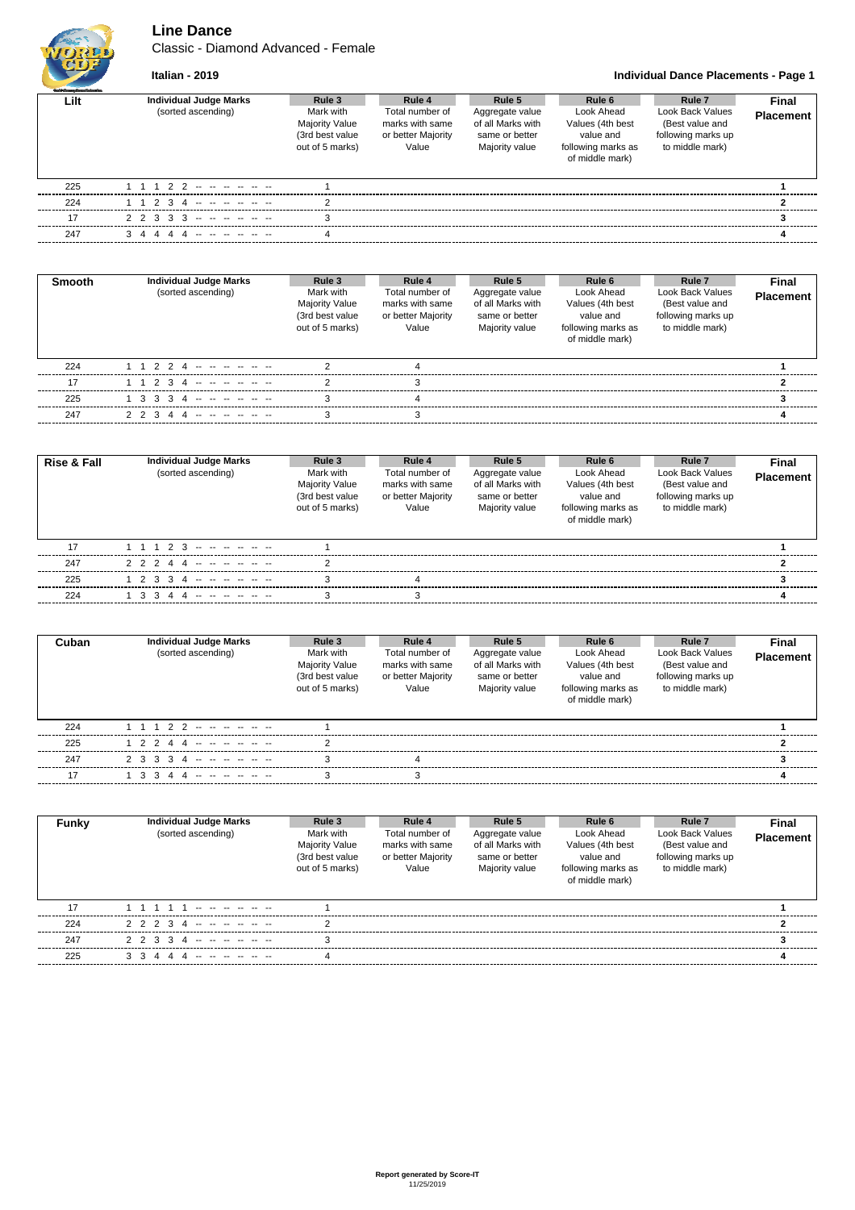

## **Line Dance**

Classic - Diamond Advanced - Female

### **Italian - 2019 Individual Dance Placements - Page 1**

| <b>Guild Gauge Barnet's banking</b> |                                                     |                                                                             |                                                                             |                                                                                    |                                                                                                |                                                                                                   |                    |
|-------------------------------------|-----------------------------------------------------|-----------------------------------------------------------------------------|-----------------------------------------------------------------------------|------------------------------------------------------------------------------------|------------------------------------------------------------------------------------------------|---------------------------------------------------------------------------------------------------|--------------------|
| Lilt                                | <b>Individual Judge Marks</b><br>(sorted ascending) | Rule 3<br>Mark with<br>Majority Value<br>(3rd best value<br>out of 5 marks) | Rule 4<br>Total number of<br>marks with same<br>or better Majority<br>Value | Rule 5<br>Aggregate value<br>of all Marks with<br>same or better<br>Majority value | Rule 6<br>Look Ahead<br>Values (4th best<br>value and<br>following marks as<br>of middle mark) | Rule <sub>7</sub><br>Look Back Values<br>(Best value and<br>following marks up<br>to middle mark) | Final<br>Placement |
| 225                                 | 1 1 1 2 2 -- -- -- -- --                            |                                                                             |                                                                             |                                                                                    |                                                                                                |                                                                                                   |                    |
| 224                                 | 1 1 2 3 4 -- -- -- -- --                            |                                                                             |                                                                             |                                                                                    |                                                                                                |                                                                                                   |                    |
| 17                                  | $2$ 2 3 3 3 -- -- -- -- --                          |                                                                             |                                                                             |                                                                                    |                                                                                                |                                                                                                   |                    |
| 247                                 | 3 4 4 4 4 -- -- -- -- --                            |                                                                             |                                                                             |                                                                                    |                                                                                                |                                                                                                   |                    |

| <b>Smooth</b> | Individual Judge Marks<br>(sorted ascending) | Rule 3<br>Mark with<br><b>Majority Value</b><br>(3rd best value<br>out of 5 marks) | Rule 4<br>Total number of<br>marks with same<br>or better Majority<br>Value | Rule 5<br>Aggregate value<br>of all Marks with<br>same or better<br>Majority value | Rule 6<br>Look Ahead<br>Values (4th best<br>value and<br>following marks as<br>of middle mark) | Rule <sub>7</sub><br>Look Back Values<br>(Best value and<br>following marks up<br>to middle mark) | Final<br><b>Placement</b> |
|---------------|----------------------------------------------|------------------------------------------------------------------------------------|-----------------------------------------------------------------------------|------------------------------------------------------------------------------------|------------------------------------------------------------------------------------------------|---------------------------------------------------------------------------------------------------|---------------------------|
| 224           | 1 1 2 2 4 <b>-- -- -- -- --</b> --           |                                                                                    |                                                                             |                                                                                    |                                                                                                |                                                                                                   |                           |
| 17            | 1 1 2 3 4 -- -- -- -- --                     |                                                                                    |                                                                             |                                                                                    |                                                                                                |                                                                                                   |                           |
| 225           | 1 3 3 3 4 -- -- -- -- --                     |                                                                                    |                                                                             |                                                                                    |                                                                                                |                                                                                                   |                           |
| 247           | 2 2 3 4 4 -- -- -- -- --                     |                                                                                    |                                                                             |                                                                                    |                                                                                                |                                                                                                   |                           |

| <b>Rise &amp; Fall</b> | <b>Individual Judge Marks</b><br>(sorted ascending) | Rule 3<br>Mark with<br><b>Majority Value</b><br>(3rd best value<br>out of 5 marks) | Rule 4<br>Total number of<br>marks with same<br>or better Majority<br>Value | Rule 5<br>Aggregate value<br>of all Marks with<br>same or better<br>Majority value | Rule 6<br>Look Ahead<br>Values (4th best<br>value and<br>following marks as<br>of middle mark) | Rule <sub>7</sub><br>Look Back Values<br>(Best value and<br>following marks up<br>to middle mark) | Final<br><b>Placement</b> |
|------------------------|-----------------------------------------------------|------------------------------------------------------------------------------------|-----------------------------------------------------------------------------|------------------------------------------------------------------------------------|------------------------------------------------------------------------------------------------|---------------------------------------------------------------------------------------------------|---------------------------|
| 17                     | 1 1 1 2 3 -- -- -- -- --                            |                                                                                    |                                                                             |                                                                                    |                                                                                                |                                                                                                   |                           |
| 247                    | 2 2 2 4 4 -- -- -- -- --                            |                                                                                    |                                                                             |                                                                                    |                                                                                                |                                                                                                   |                           |
| 225                    | 1 2 3 3 4 -- -- -- -- -- --                         |                                                                                    |                                                                             |                                                                                    |                                                                                                |                                                                                                   |                           |
| 224                    | 1 3 3 4 4 -- -- -- -- --                            |                                                                                    |                                                                             |                                                                                    |                                                                                                |                                                                                                   |                           |

| Cuban | <b>Individual Judge Marks</b><br>(sorted ascending) | Rule 3<br>Mark with<br>Majority Value<br>(3rd best value<br>out of 5 marks) | Rule 4<br>Total number of<br>marks with same<br>or better Majority<br>Value | Rule 5<br>Aggregate value<br>of all Marks with<br>same or better<br>Majority value | Rule 6<br>Look Ahead<br>Values (4th best<br>value and<br>following marks as<br>of middle mark) | Rule <sub>7</sub><br>Look Back Values<br>(Best value and<br>following marks up<br>to middle mark) | <b>Final</b><br><b>Placement</b> |
|-------|-----------------------------------------------------|-----------------------------------------------------------------------------|-----------------------------------------------------------------------------|------------------------------------------------------------------------------------|------------------------------------------------------------------------------------------------|---------------------------------------------------------------------------------------------------|----------------------------------|
| 224   | 1 1 1 2 2 -- -- -- -- --                            |                                                                             |                                                                             |                                                                                    |                                                                                                |                                                                                                   |                                  |
| 225   | 1 2 2 4 4 -- -- -- -- --                            |                                                                             |                                                                             |                                                                                    |                                                                                                |                                                                                                   |                                  |
| 247   | 2 3 3 3 4 -- -- -- -- -- --                         |                                                                             |                                                                             |                                                                                    |                                                                                                |                                                                                                   |                                  |
| 17    | 1 3 3 4 4 -- -- -- -- --                            |                                                                             |                                                                             |                                                                                    |                                                                                                |                                                                                                   |                                  |

| Funkv | <b>Individual Judge Marks</b><br>(sorted ascending) | Rule 3<br>Mark with<br><b>Majority Value</b><br>(3rd best value<br>out of 5 marks) | Rule 4<br>Total number of<br>marks with same<br>or better Majority<br>Value | Rule 5<br>Aggregate value<br>of all Marks with<br>same or better<br>Majority value | Rule 6<br>Look Ahead<br>Values (4th best<br>value and<br>following marks as<br>of middle mark) | Rule <sub>7</sub><br>Look Back Values<br>(Best value and<br>following marks up<br>to middle mark) | <b>Final</b><br><b>Placement</b> |
|-------|-----------------------------------------------------|------------------------------------------------------------------------------------|-----------------------------------------------------------------------------|------------------------------------------------------------------------------------|------------------------------------------------------------------------------------------------|---------------------------------------------------------------------------------------------------|----------------------------------|
| 17    |                                                     |                                                                                    |                                                                             |                                                                                    |                                                                                                |                                                                                                   |                                  |
| 224   | 2 2 2 3 4 -- -- -- -- --                            |                                                                                    |                                                                             |                                                                                    |                                                                                                |                                                                                                   |                                  |
| 247   | 2 2 3 3 4 -- -- -- -- --                            |                                                                                    |                                                                             |                                                                                    |                                                                                                |                                                                                                   |                                  |
| 225   |                                                     |                                                                                    |                                                                             |                                                                                    |                                                                                                |                                                                                                   |                                  |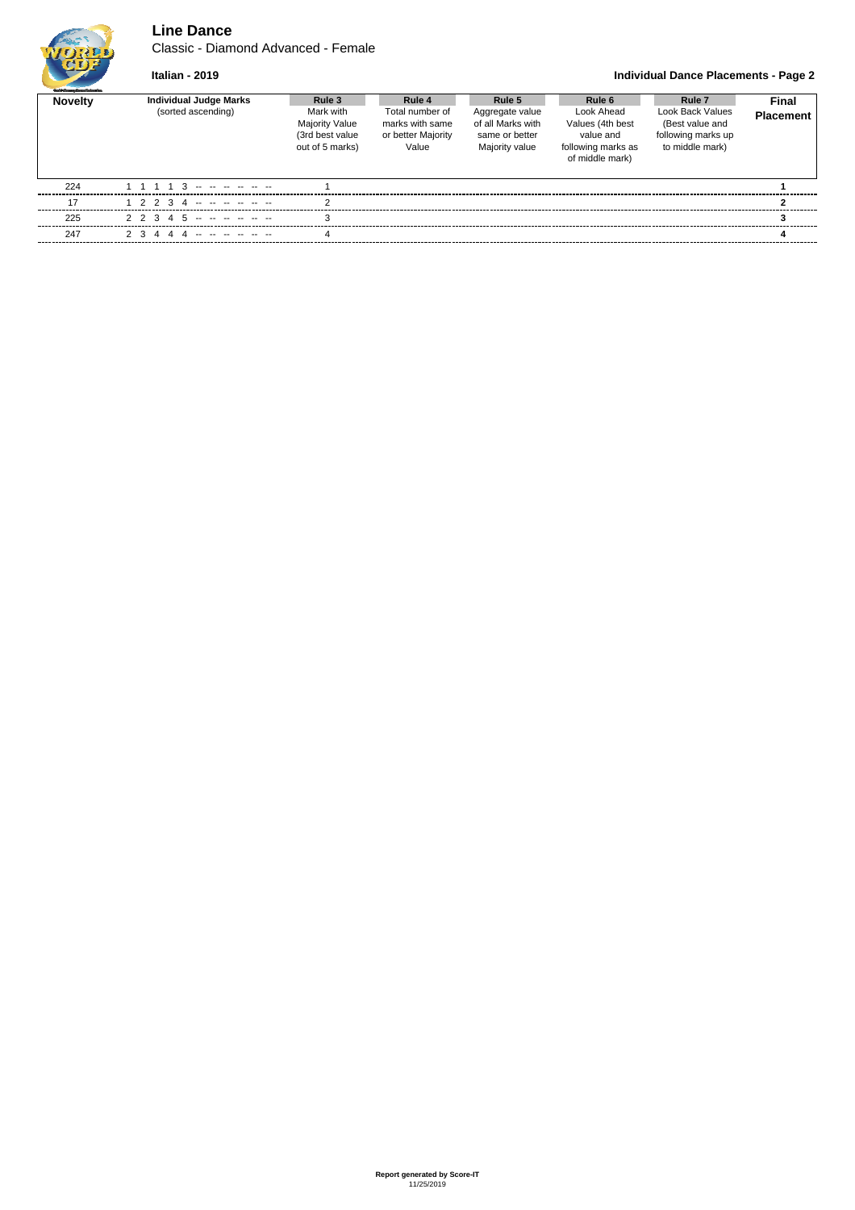

## **Line Dance**

Classic - Diamond Advanced - Female

#### **Italian - 2019 Individual Dance Placements - Page 2**

| <b>Guild Grantes Days of changing</b> |                                              |                                                                             |                                                                             |                                                                                    |                                                                                                |                                                                                                   |                           |
|---------------------------------------|----------------------------------------------|-----------------------------------------------------------------------------|-----------------------------------------------------------------------------|------------------------------------------------------------------------------------|------------------------------------------------------------------------------------------------|---------------------------------------------------------------------------------------------------|---------------------------|
| <b>Novelty</b>                        | Individual Judge Marks<br>(sorted ascending) | Rule 3<br>Mark with<br>Majority Value<br>(3rd best value<br>out of 5 marks) | Rule 4<br>Total number of<br>marks with same<br>or better Majority<br>Value | Rule 5<br>Aggregate value<br>of all Marks with<br>same or better<br>Majority value | Rule 6<br>Look Ahead<br>Values (4th best<br>value and<br>following marks as<br>of middle mark) | Rule <sub>7</sub><br>Look Back Values<br>(Best value and<br>following marks up<br>to middle mark) | Final<br><b>Placement</b> |
| 224                                   |                                              |                                                                             |                                                                             |                                                                                    |                                                                                                |                                                                                                   |                           |
| 17                                    | 1 2 2 3 4 -- -- -- -- --                     |                                                                             |                                                                             |                                                                                    |                                                                                                |                                                                                                   |                           |
| 225                                   | 2 2 3 4 5 -- -- -- -- --                     |                                                                             |                                                                             |                                                                                    |                                                                                                |                                                                                                   |                           |
| 247                                   | 2 3 4 4 4 -- -- -- -- --                     |                                                                             |                                                                             |                                                                                    |                                                                                                |                                                                                                   |                           |
|                                       |                                              |                                                                             |                                                                             |                                                                                    |                                                                                                |                                                                                                   |                           |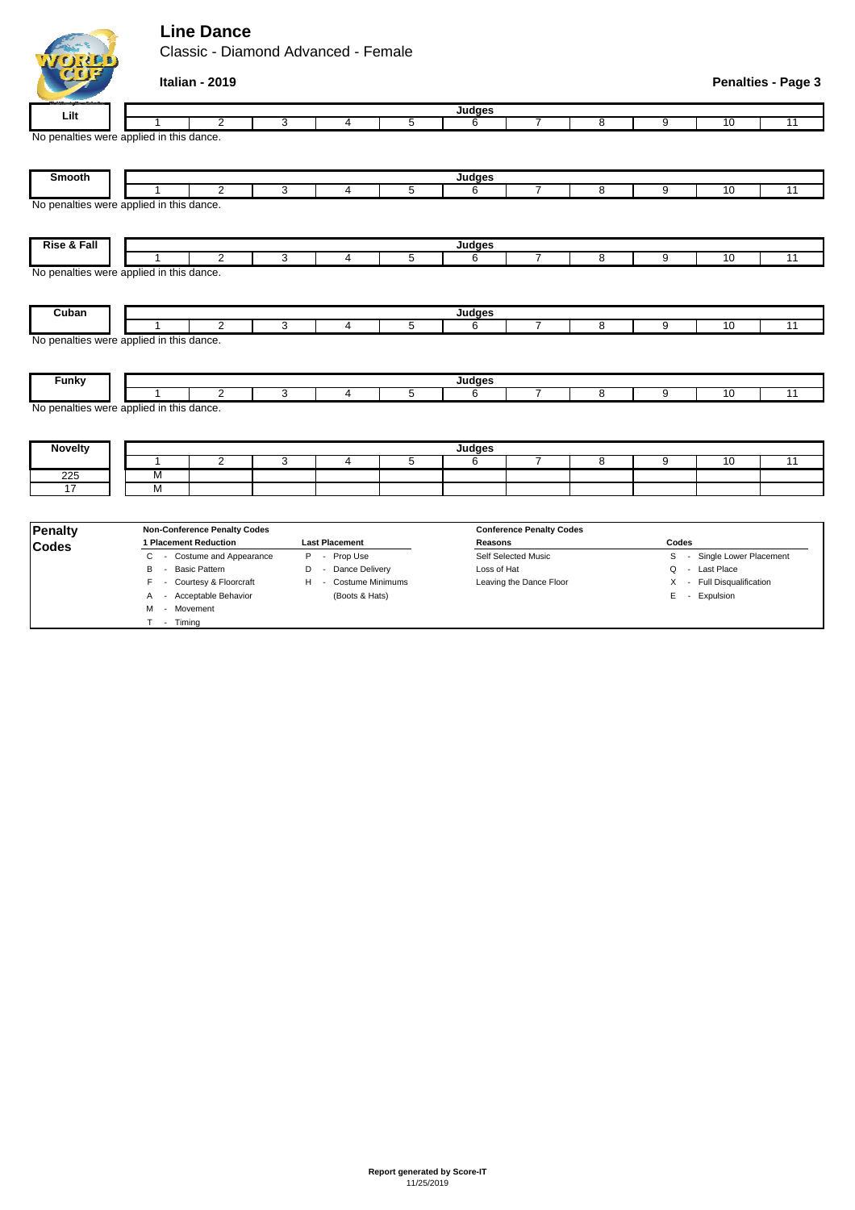# **Line Dance**

L.

|                                                                                                                                                                                   |                                          | Classic - Diamond Advanced - Female |   |                |                |               |                |   |   |    |                           |  |  |
|-----------------------------------------------------------------------------------------------------------------------------------------------------------------------------------|------------------------------------------|-------------------------------------|---|----------------|----------------|---------------|----------------|---|---|----|---------------------------|--|--|
|                                                                                                                                                                                   | Italian - 2019                           |                                     |   |                |                |               |                |   |   |    | <b>Penalties - Page 3</b> |  |  |
| Lilt                                                                                                                                                                              | Judges                                   |                                     |   |                |                |               |                |   |   |    |                           |  |  |
|                                                                                                                                                                                   |                                          | $\overline{2}$                      | 3 | 4              | 5              | 6             | 7              | 8 | 9 | 10 | 11                        |  |  |
|                                                                                                                                                                                   | No penalties were applied in this dance. |                                     |   |                |                |               |                |   |   |    |                           |  |  |
| Smooth                                                                                                                                                                            |                                          |                                     |   |                |                | Judges        |                |   |   |    |                           |  |  |
|                                                                                                                                                                                   |                                          | $\overline{2}$                      | 3 | 4              | 5              | 6             | $\overline{7}$ | 8 | 9 | 10 | 11                        |  |  |
|                                                                                                                                                                                   | No penalties were applied in this dance. |                                     |   |                |                |               |                |   |   |    |                           |  |  |
| Rise & Fall                                                                                                                                                                       |                                          |                                     |   |                |                |               |                |   |   |    |                           |  |  |
|                                                                                                                                                                                   |                                          |                                     |   |                |                | <b>Judges</b> |                |   |   |    |                           |  |  |
|                                                                                                                                                                                   |                                          | $\overline{2}$                      | 3 | 4              | 5              | 6             | $\overline{7}$ | 8 | 9 | 10 | 11                        |  |  |
|                                                                                                                                                                                   |                                          |                                     |   |                |                | Judges        |                |   |   |    |                           |  |  |
|                                                                                                                                                                                   | 1                                        | $\overline{2}$                      | 3 | 4              | 5              | 6             | $\overline{7}$ | 8 | 9 | 10 | 11                        |  |  |
|                                                                                                                                                                                   |                                          |                                     |   |                |                |               |                |   |   |    |                           |  |  |
|                                                                                                                                                                                   |                                          |                                     |   |                |                | Judges        |                |   |   |    |                           |  |  |
|                                                                                                                                                                                   |                                          | 2                                   | 3 | $\overline{4}$ | 5              | 6             | $\overline{7}$ | 8 | 9 | 10 | $\overline{11}$           |  |  |
|                                                                                                                                                                                   |                                          |                                     |   |                |                |               |                |   |   |    |                           |  |  |
|                                                                                                                                                                                   |                                          |                                     |   |                |                | <b>Judges</b> |                |   |   |    |                           |  |  |
|                                                                                                                                                                                   | $\mathbf{1}$                             | $\overline{2}$                      | 3 | $\overline{4}$ | $\overline{5}$ | 6             | $\overline{7}$ | 8 | 9 | 10 | $\overline{11}$           |  |  |
| 225                                                                                                                                                                               | M                                        |                                     |   |                |                |               |                |   |   |    |                           |  |  |
| No penalties were applied in this dance.<br>Cuban<br>No penalties were applied in this dance.<br><b>Funky</b><br>No penalties were applied in this dance.<br><b>Novelty</b><br>17 | M                                        |                                     |   |                |                |               |                |   |   |    |                           |  |  |

| Penalty      | <b>Non-Conference Penalty Codes</b> |                       | <b>Conference Penalty Codes</b> |                              |
|--------------|-------------------------------------|-----------------------|---------------------------------|------------------------------|
| <b>Codes</b> | <b>Placement Reduction</b>          | <b>Last Placement</b> | Reasons                         | Codes                        |
|              | - Costume and Appearance            | Prop Use              | Self Selected Music             | Single Lower Placement<br>S. |
|              | Basic Pattern<br>в                  | Dance Delivery        | Loss of Hat                     | Q - Last Place               |
|              | F - Courtesy & Floorcraft           | Costume Minimums<br>н | Leaving the Dance Floor         | X - Full Disqualification    |
|              | - Acceptable Behavior               | (Boots & Hats)        |                                 | E - Expulsion                |
|              | - Movement<br>м                     |                       |                                 |                              |
|              | Timina<br>$\overline{\phantom{0}}$  |                       |                                 |                              |